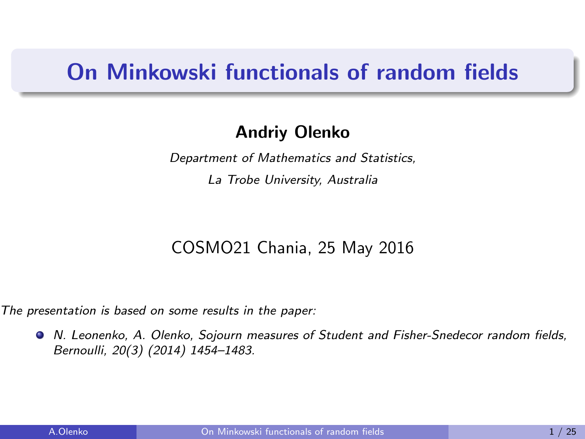## <span id="page-0-0"></span>On Minkowski functionals of random fields

### Andriy Olenko

Department of Mathematics and Statistics, La Trobe University, Australia

### COSMO21 Chania, 25 May 2016

The presentation is based on some results in the paper:

N. Leonenko, A. Olenko, Sojourn measures of Student and Fisher-Snedecor random fields, Bernoulli, 20(3) (2014) 1454–1483.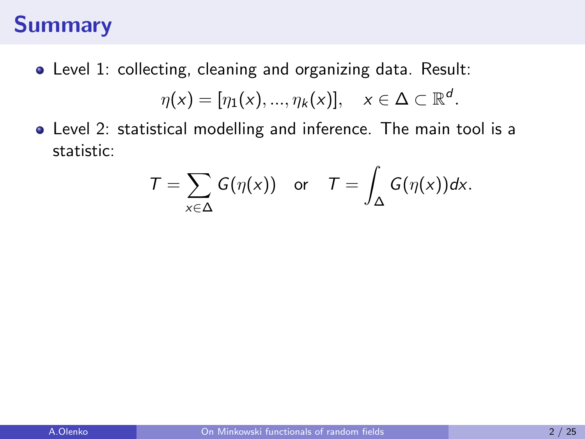## Summary

Level 1: collecting, cleaning and organizing data. Result:

$$
\eta(x)=[\eta_1(x),...,\eta_k(x)], x\in \Delta\subset \mathbb{R}^d.
$$

Level 2: statistical modelling and inference. The main tool is a statistic:

$$
\mathcal{T} = \sum_{x \in \Delta} G(\eta(x)) \quad \text{or} \quad \mathcal{T} = \int_{\Delta} G(\eta(x))dx.
$$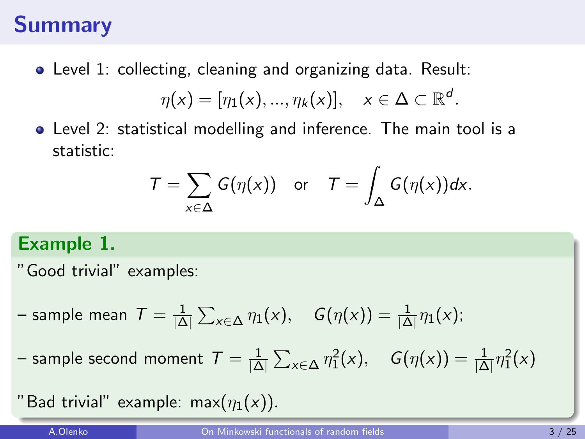# Summary

Level 1: collecting, cleaning and organizing data. Result:

$$
\eta(x)=[\eta_1(x),...,\eta_k(x)], x\in \Delta\subset \mathbb{R}^d.
$$

Level 2: statistical modelling and inference. The main tool is a statistic:

$$
\mathcal{T} = \sum_{x \in \Delta} G(\eta(x)) \quad \text{or} \quad \mathcal{T} = \int_{\Delta} G(\eta(x))dx.
$$

## Example 1.

"Good trivial" examples:

- sample mean  $\mathcal{T} = \frac{1}{\mathsf{I} \mathsf{\Lambda}}$  $\frac{1}{|\Delta|}\sum_{x\in \Delta} \eta_1(x),\quad G(\eta(x))=\frac{1}{|\Delta|}\eta_1(x);$
- sample second moment  $\mathcal{T} = \frac{1}{|\Lambda|}$  $\frac{1}{|\Delta|}\sum_{x\in \Delta}\eta_1^2(x),\quad G(\eta(x))=\frac{1}{|\Delta|}\eta_1^2(x)$

"Bad trivial" example:  $max(\eta_1(x))$ .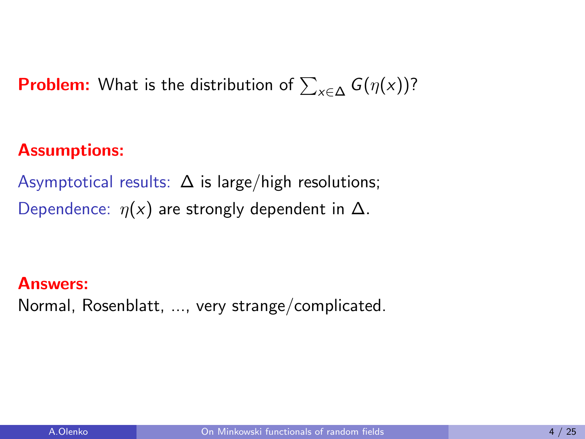**Problem:** What is the distribution of  $\sum_{x \in \Delta} G(\eta(x))$ ?

### Assumptions:

Asymptotical results:  $\Delta$  is large/high resolutions; Dependence:  $\eta(x)$  are strongly dependent in  $\Delta$ .

#### Answers:

Normal, Rosenblatt, ..., very strange/complicated.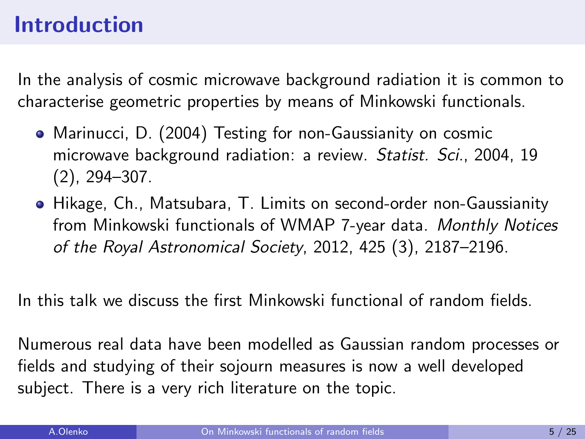# Introduction

In the analysis of cosmic microwave background radiation it is common to characterise geometric properties by means of Minkowski functionals.

- Marinucci, D. (2004) Testing for non-Gaussianity on cosmic microwave background radiation: a review. Statist. Sci., 2004, 19 (2), 294–307.
- Hikage, Ch., Matsubara, T. Limits on second-order non-Gaussianity from Minkowski functionals of WMAP 7-year data. Monthly Notices of the Royal Astronomical Society, 2012, 425 (3), 2187–2196.

In this talk we discuss the first Minkowski functional of random fields.

Numerous real data have been modelled as Gaussian random processes or fields and studying of their sojourn measures is now a well developed subject. There is a very rich literature on the topic.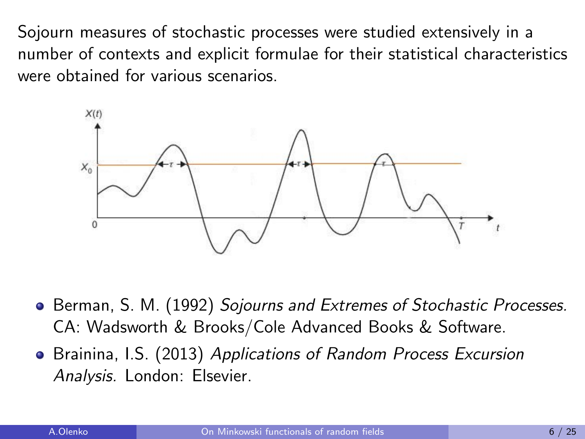Sojourn measures of stochastic processes were studied extensively in a number of contexts and explicit formulae for their statistical characteristics were obtained for various scenarios.



- Berman, S. M. (1992) Sojourns and Extremes of Stochastic Processes. CA: Wadsworth & Brooks/Cole Advanced Books & Software.
- Brainina, I.S. (2013) Applications of Random Process Excursion Analysis. London: Elsevier.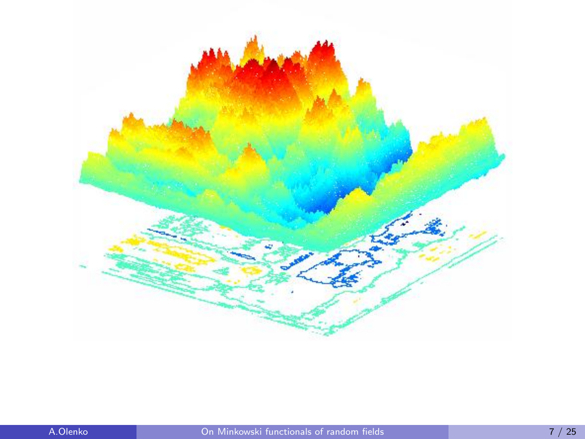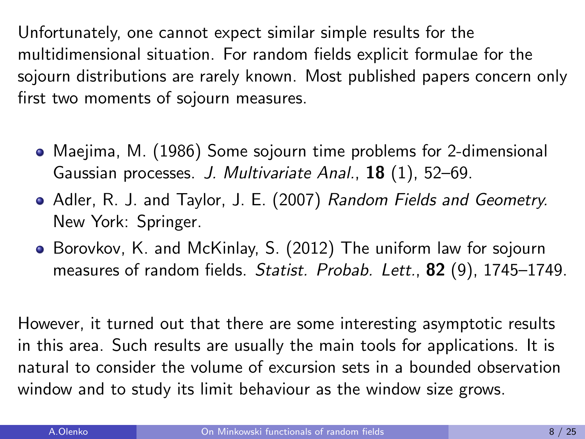Unfortunately, one cannot expect similar simple results for the multidimensional situation. For random fields explicit formulae for the sojourn distributions are rarely known. Most published papers concern only first two moments of sojourn measures.

- Maejima, M. (1986) Some sojourn time problems for 2-dimensional Gaussian processes. J. Multivariate Anal., 18 (1), 52–69.
- Adler, R. J. and Taylor, J. E. (2007) Random Fields and Geometry. New York: Springer.
- Borovkov, K. and McKinlay, S. (2012) The uniform law for sojourn measures of random fields. Statist. Probab. Lett., 82 (9), 1745–1749.

However, it turned out that there are some interesting asymptotic results in this area. Such results are usually the main tools for applications. It is natural to consider the volume of excursion sets in a bounded observation window and to study its limit behaviour as the window size grows.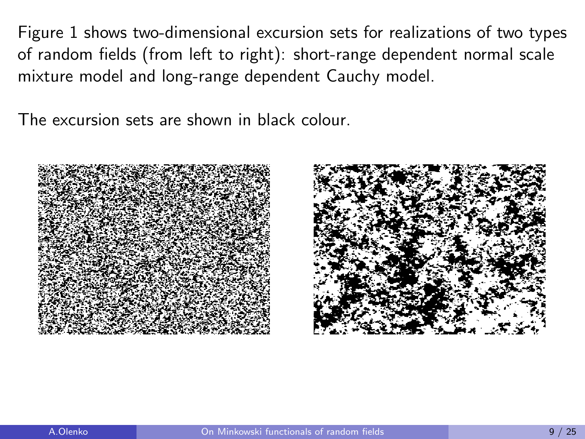Figure 1 shows two-dimensional excursion sets for realizations of two types of random fields (from left to right): short-range dependent normal scale mixture model and long-range dependent Cauchy model.

The excursion sets are shown in black colour.



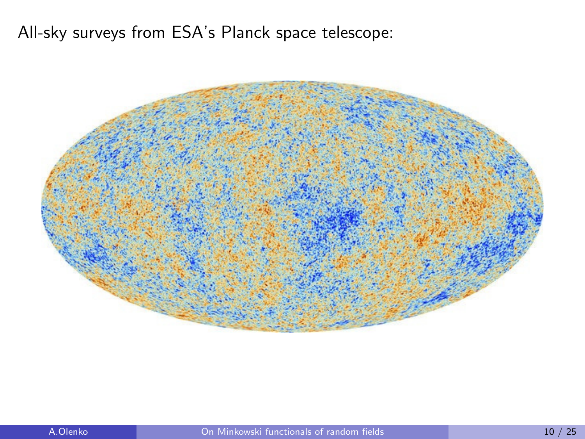All-sky surveys from ESA's Planck space telescope:

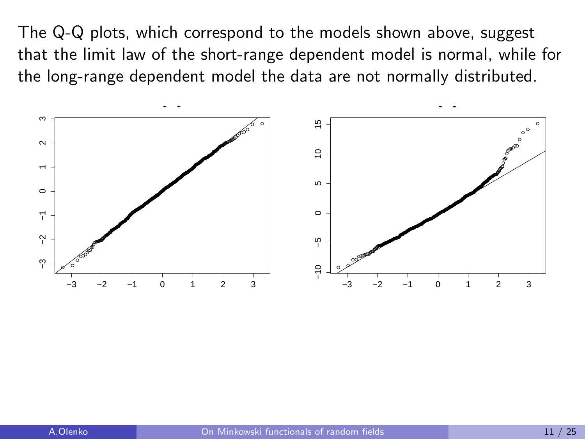The Q-Q plots, which correspond to the models shown above, suggest that the limit law of the short-range dependent model is normal, while for the long-range dependent model the data are not normally distributed.

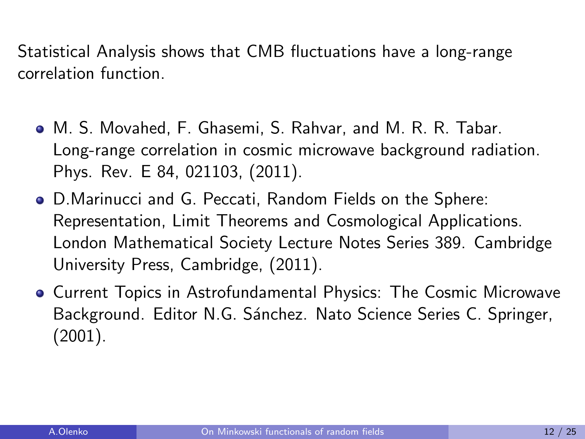Statistical Analysis shows that CMB fluctuations have a long-range correlation function.

- M. S. Movahed, F. Ghasemi, S. Rahvar, and M. R. R. Tabar. Long-range correlation in cosmic microwave background radiation. Phys. Rev. E 84, 021103, (2011).
- D.Marinucci and G. Peccati, Random Fields on the Sphere: Representation, Limit Theorems and Cosmological Applications. London Mathematical Society Lecture Notes Series 389. Cambridge University Press, Cambridge, (2011).
- Current Topics in Astrofundamental Physics: The Cosmic Microwave Background. Editor N.G. Sánchez. Nato Science Series C. Springer, (2001).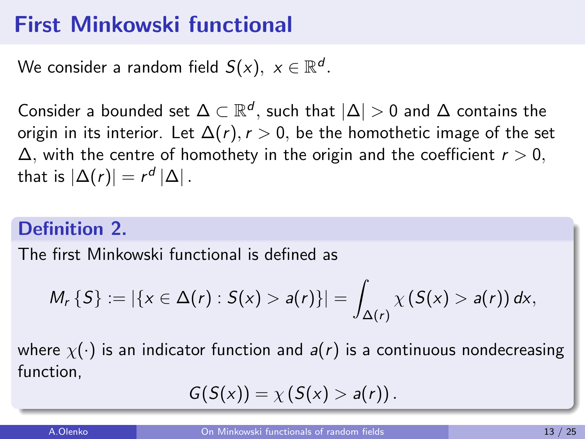# First Minkowski functional

We consider a random field  $S(\mathsf{x}),\;\mathsf{x}\in\mathbb{R}^d.$ 

Consider a bounded set  $\Delta \subset \mathbb{R}^d,$  such that  $|\Delta| > 0$  and  $\Delta$  contains the origin in its interior. Let  $\Delta(r)$ ,  $r > 0$ , be the homothetic image of the set  $\Delta$ , with the centre of homothety in the origin and the coefficient  $r > 0$ , that is  $|\Delta(r)| = r^d |\Delta|$  .

### Definition 2.

The first Minkowski functional is defined as

$$
M_r\{S\} := |\{x \in \Delta(r): S(x) > a(r)\}| = \int_{\Delta(r)} \chi(S(x) > a(r)) dx,
$$

where  $\chi(\cdot)$  is an indicator function and  $a(r)$  is a continuous nondecreasing function,

$$
G(S(x)) = \chi (S(x) > a(r)).
$$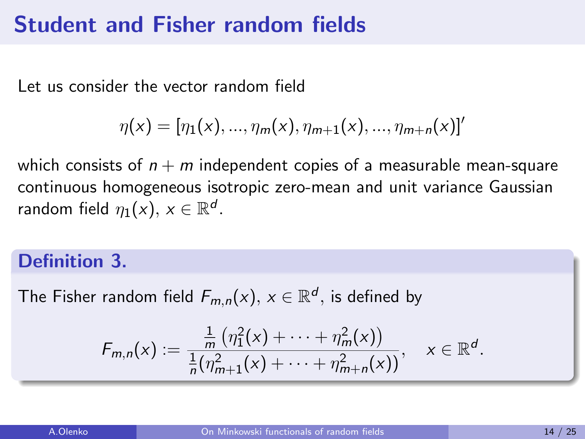## Student and Fisher random fields

Let us consider the vector random field

$$
\eta(x) = [\eta_1(x), ..., \eta_m(x), \eta_{m+1}(x), ..., \eta_{m+n}(x)]'
$$

which consists of  $n + m$  independent copies of a measurable mean-square continuous homogeneous isotropic zero-mean and unit variance Gaussian random field  $\eta_1(x), x \in \mathbb{R}^d$ .

### Definition 3.

The Fisher random field  $F_{m,n}(\mathsf{x}),\, \mathsf{x}\in\mathbb{R}^{d},$  is defined by

$$
F_{m,n}(x) := \frac{\frac{1}{m} \left( \eta_1^2(x) + \cdots + \eta_m^2(x) \right)}{\frac{1}{n} \left( \eta_{m+1}^2(x) + \cdots + \eta_{m+n}^2(x) \right)}, \quad x \in \mathbb{R}^d.
$$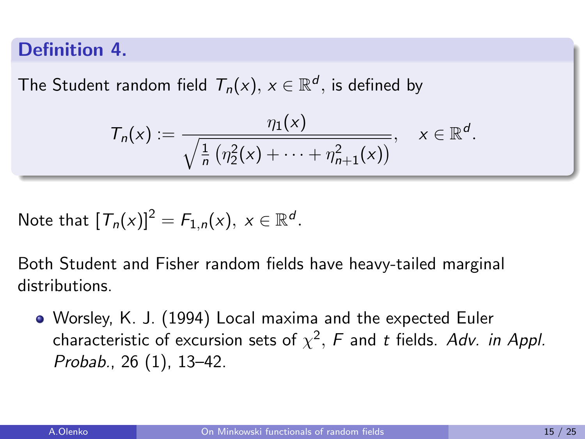## Definition 4.

The Student random field  $\mathcal{T}_n(x),\,x\in\mathbb{R}^d,$  is defined by

$$
T_n(x) := \frac{\eta_1(x)}{\sqrt{\frac{1}{n} (\eta_2^2(x) + \cdots + \eta_{n+1}^2(x))}}, \quad x \in \mathbb{R}^d.
$$

Note that  $[T_n(x)]^2 = F_{1,n}(x), x \in \mathbb{R}^d$ .

Both Student and Fisher random fields have heavy-tailed marginal distributions.

Worsley, K. J. (1994) Local maxima and the expected Euler characteristic of excursion sets of  $\chi^2,$   $\digamma$  and  $t$  fields. Adv. in Appl. Probab., 26 (1), 13–42.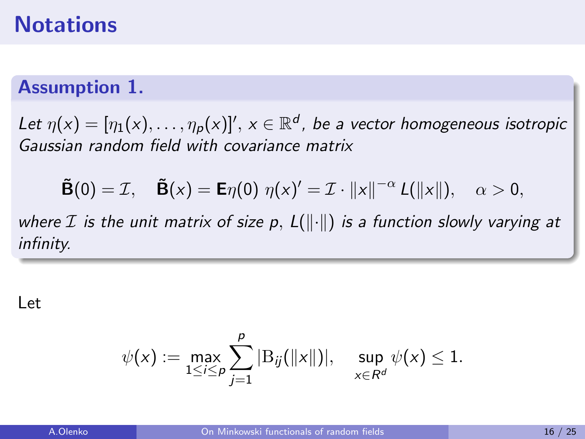## **Notations**

### Assumption 1.

<span id="page-15-0"></span>Let  $\eta(x) = [\eta_1(x), \ldots, \eta_p(x)]', x \in \mathbb{R}^d$ , be a vector homogeneous isotropic Gaussian random field with covariance matrix

$$
\widetilde{\mathbf{B}}(0)=\mathcal{I}, \quad \widetilde{\mathbf{B}}(x)=\mathbf{E}\eta(0) \; \eta(x)'=\mathcal{I} \cdot ||x||^{-\alpha} \; L(||x||), \quad \alpha>0,
$$

where  $\mathcal I$  is the unit matrix of size p,  $L(\|\cdot\|)$  is a function slowly varying at infinity.

Let

$$
\psi(x) := \max_{1 \leq i \leq p} \sum_{j=1}^p |B_{ij}(\|x\|)|, \quad \sup_{x \in R^d} \psi(x) \leq 1.
$$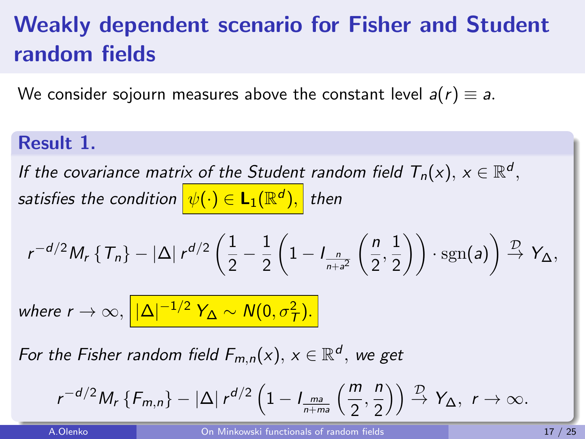# Weakly dependent scenario for Fisher and Student random fields

We consider sojourn measures above the constant level  $a(r) \equiv a$ .

## Result 1.

If the covariance matrix of the Student random field  $T_n(x),\,x\in\mathbb{R}^d,$ satisfies the condition  $\boxed{\psi(\cdot) \in \mathsf{L}_1(\mathbb{R}^d),}$  then

$$
r^{-d/2}M_r\left\{\mathcal{T}_n\right\}-|\Delta| \ r^{d/2}\left(\frac{1}{2}-\frac{1}{2}\left(1-I_{\frac{n}{n+2^2}}\left(\frac{n}{2},\frac{1}{2}\right)\right)\cdot \mathrm{sgn}(\mathbf{a})\right) \xrightarrow{\mathcal{D}} Y_{\Delta},
$$

where  $r \to \infty, \left| \frac{|\Delta|^{-1/2} \, \mathsf{Y}_{\Delta} \sim \mathsf{N}(0, \sigma_T^2).}{\mathsf{Y}_{\Delta} \sim \mathsf{N}(0, \sigma_T^2).} \right|$ 

For the Fisher random field  $F_{m,n}(x),\,x\in\mathbb{R}^d,$  we get

$$
r^{-d/2}M_r\left\{F_{m,n}\right\}-|\Delta| \ r^{d/2}\left(1-I_{\frac{ma}{n+ma}}\left(\frac{m}{2},\frac{n}{2}\right)\right)\stackrel{\mathcal{D}}{\rightarrow} Y_{\Delta},\ r\rightarrow\infty.
$$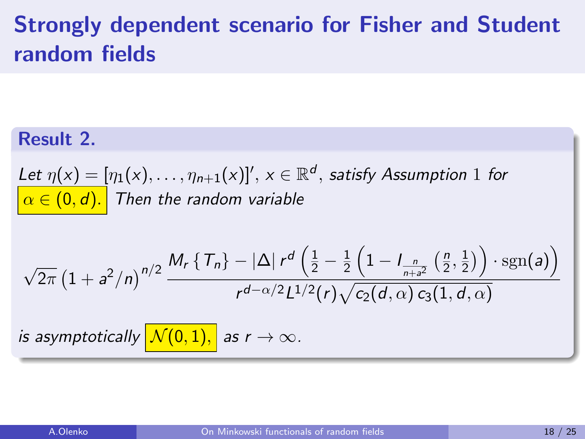# Strongly dependent scenario for Fisher and Student random fields

### Result 2.

Let  $\eta(x) = [\eta_1(x), \ldots, \eta_{n+1}(x)]',$  $\eta(x) = [\eta_1(x), \ldots, \eta_{n+1}(x)]',$  $\eta(x) = [\eta_1(x), \ldots, \eta_{n+1}(x)]',$   $x \in \mathbb{R}^d,$  satisfy Assumption 1 for  $\alpha \in (0, d)$ . Then the random variable

$$
\sqrt{2\pi} \left(1+ \frac{a^2}{n}\right)^{n/2} \frac{M_r \left\{T_n\right\} - |\Delta| \frac{r^d \left(\frac{1}{2}-\frac{1}{2}\left(1-I_{\frac{n}{n+2^2}}\left(\frac{n}{2},\frac{1}{2}\right)\right) \cdot \mathrm{sgn}(\mathbf{a})\right)}{r^{d-\alpha/2}L^{1/2}(r)\sqrt{c_2(d,\alpha) c_3(1,d,\alpha)}}
$$

is asymptotically  $\left| \mathcal{N}(0,1), \right|$  as  $r \to \infty$ .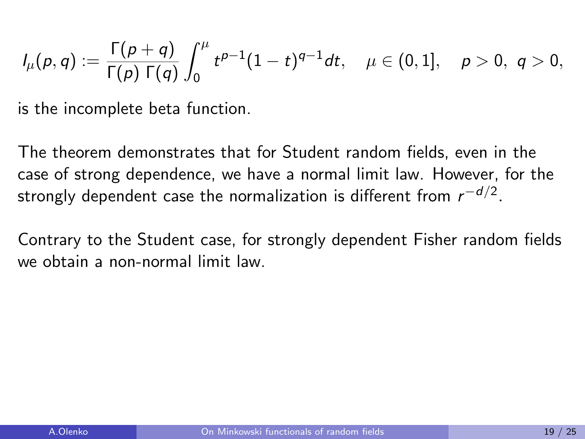$$
I_{\mu}(p,q):=\frac{\Gamma(p+q)}{\Gamma(p)\Gamma(q)}\int_0^{\mu}t^{p-1}(1-t)^{q-1}dt,\quad \mu\in(0,1],\quad p>0,\,\,q>0,
$$

is the incomplete beta function.

The theorem demonstrates that for Student random fields, even in the case of strong dependence, we have a normal limit law. However, for the strongly dependent case the normalization is different from  $\mathsf{r}^{-d/2}.$ 

Contrary to the Student case, for strongly dependent Fisher random fields we obtain a non-normal limit law.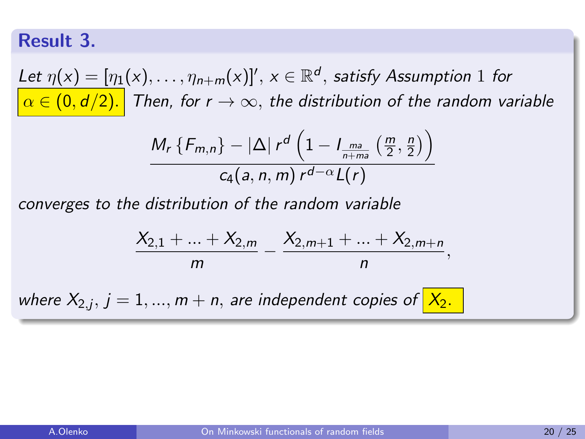### Result 3.

<span id="page-19-0"></span>Let  $\eta(x) = [\eta_1(x), \ldots, \eta_{n+m}(x)]', x \in \mathbb{R}^d$  $\eta(x) = [\eta_1(x), \ldots, \eta_{n+m}(x)]', x \in \mathbb{R}^d$  $\eta(x) = [\eta_1(x), \ldots, \eta_{n+m}(x)]', x \in \mathbb{R}^d$ , satisfy Assumption 1 for  $\alpha \in (0, d/2)$ . Then, for  $r \to \infty$ , the distribution of the random variable

$$
\frac{M_r\left\{F_{m,n}\right\}-\left|\Delta\right| r^d\left(1-l_{\frac{ma}{n+ma}}\left(\frac{m}{2},\frac{n}{2}\right)\right)}{c_4(a,n,m)\,r^{d-\alpha}L(r)}
$$

converges to the distribution of the random variable

$$
\frac{X_{2,1} + \ldots + X_{2,m}}{m} - \frac{X_{2,m+1} + \ldots + X_{2,m+n}}{n},
$$
  
where  $X_{2,j}$ ,  $j = 1, \ldots, m+n$ , are independent copies of  $\boxed{X_2}$ .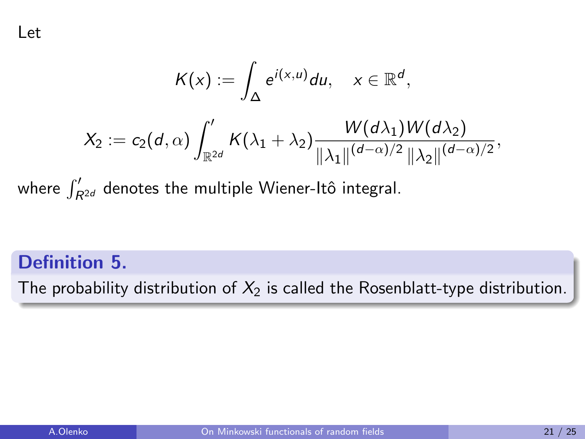$$
K(x) := \int_{\Delta} e^{i(x,u)} du, \quad x \in \mathbb{R}^d,
$$
  

$$
X_2 := c_2(d, \alpha) \int_{\mathbb{R}^{2d}}' K(\lambda_1 + \lambda_2) \frac{W(d\lambda_1)W(d\lambda_2)}{\|\lambda_1\|^{(d-\alpha)/2} \|\lambda_2\|^{(d-\alpha)/2}},
$$

where  $\int '_{R^{2d}}$  denotes the multiple Wiener-Itô integral.

### Definition 5.

The probability distribution of  $X_2$  is called the Rosenblatt-type distribution.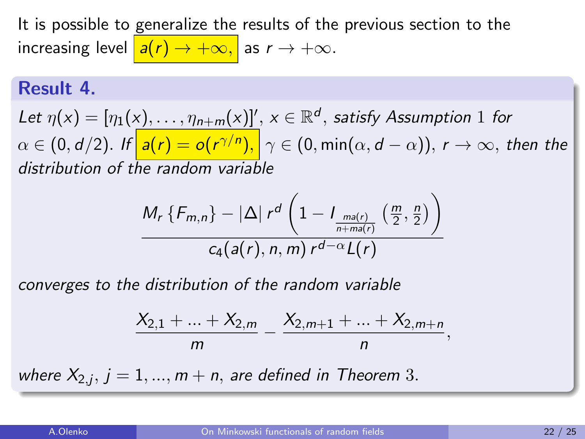It is possible to generalize the results of the previous section to the increasing level  $\boxed{a(r) \rightarrow +\infty}$ , as  $r \rightarrow +\infty$ .

#### Result 4.

Let  $\eta(x) = [\eta_1(x), \ldots, \eta_{n+m}(x)]',$  $\eta(x) = [\eta_1(x), \ldots, \eta_{n+m}(x)]',$  $\eta(x) = [\eta_1(x), \ldots, \eta_{n+m}(x)]',$   $x \in \mathbb{R}^d$ , satisfy Assumption 1 for  $\alpha\in (0,d/2).$  If  $|\textit{a}(r)=o(r^{\gamma/n}),\,|\, \gamma\in (0,\textsf{min}(\alpha,d-\alpha)),\, r\to\infty,$  then the distribution of the random variable

$$
\frac{M_r\left\{F_{m,n}\right\}-\left|\Delta\right|r^d\left(1-\frac{I_{\frac{ma(r)}{n+ma(r)}}\left(\frac{m}{2},\frac{n}{2}\right)}{c_4(a(r),n,m)\,r^{d-\alpha}L(r)}\right)}{}
$$

converges to the distribution of the random variable

$$
\frac{X_{2,1} + ... + X_{2,m}}{m} - \frac{X_{2,m+1} + ... + X_{2,m+n}}{n},
$$

where  $X_{2,j}, j=1,...,m+n$ , are defined in Theorem [3.](#page-19-0)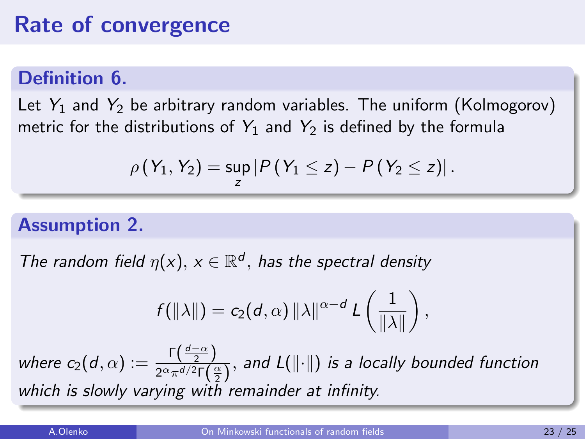# Rate of convergence

### Definition 6.

Let  $Y_1$  and  $Y_2$  be arbitrary random variables. The uniform (Kolmogorov) metric for the distributions of  $Y_1$  and  $Y_2$  is defined by the formula

$$
\rho(Y_1, Y_2) = \sup_{z} |P(Y_1 \leq z) - P(Y_2 \leq z)|.
$$

## Assumption 2.

<span id="page-22-0"></span>The random field  $\eta(x)$ ,  $x \in \mathbb{R}^d$ , has the spectral density

$$
f(||\lambda||) = c_2(d,\alpha) ||\lambda||^{\alpha-d} L\left(\frac{1}{||\lambda||}\right),
$$

where  $c_2(d, \alpha) := \frac{\Gamma(\frac{d-\alpha}{2})}{2\alpha \pi^{d/2} \Gamma(d)}$  $\frac{1}{2(\frac{2}{\alpha}\pi^{d/2}\Gamma(\frac{\alpha}{2})})$ , and  $L(\|\cdot\|)$  is a locally bounded function which is slowly varying with remainder at infinity.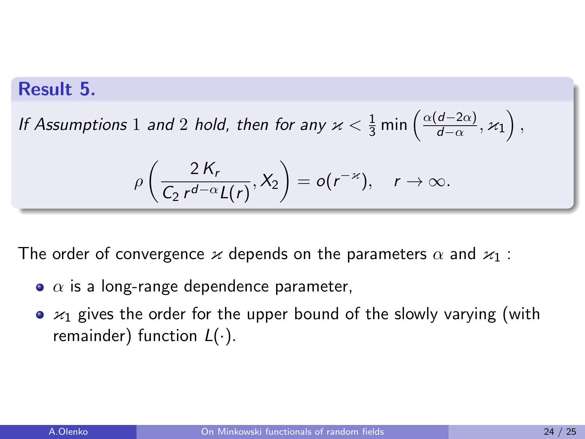#### Result 5.

If Assumptions [1](#page-15-0) and [2](#page-22-0) hold, then for any  $\varkappa < \frac{1}{3}$  min  $\left( \frac{\alpha(d-2\alpha)}{d-\alpha} \right)$  $\left(\frac{d-2\alpha)}{d-\alpha}, \, \varkappa_1\right),$ 

$$
\rho\left(\frac{2K_r}{C_2 r^{d-\alpha}L(r)}, X_2\right) = o(r^{-\varkappa}), \quad r \to \infty.
$$

The order of convergence  $\varkappa$  depends on the parameters  $\alpha$  and  $\varkappa_1$ :

- $\bullet$   $\alpha$  is a long-range dependence parameter,
- $x_1$  gives the order for the upper bound of the slowly varying (with remainder) function  $L(\cdot)$ .